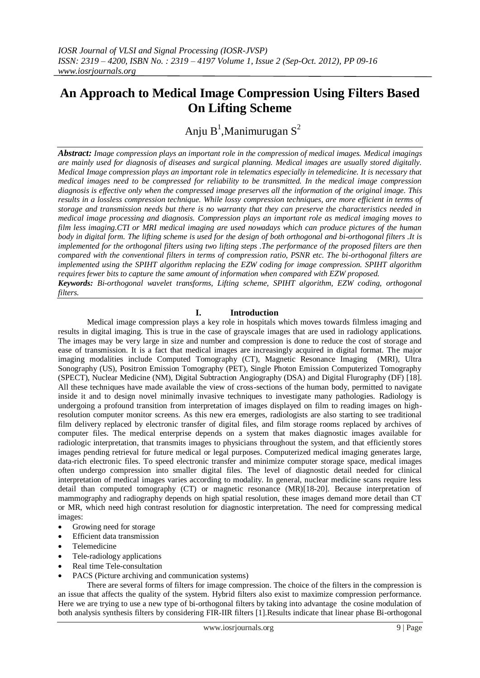# **An Approach to Medical Image Compression Using Filters Based On Lifting Scheme**

Anju B<sup>1</sup>, Manimurugan S<sup>2</sup>

*Abstract: Image compression plays an important role in the compression of medical images. Medical imagings are mainly used for diagnosis of diseases and surgical planning. Medical images are usually stored digitally. Medical Image compression plays an important role in telematics especially in telemedicine. It is necessary that medical images need to be compressed for reliability to be transmitted. In the medical image compression diagnosis is effective only when the compressed image preserves all the information of the original image. This results in a lossless compression technique. While lossy compression techniques, are more efficient in terms of storage and transmission needs but there is no warranty that they can preserve the characteristics needed in medical image processing and diagnosis. Compression plays an important role as medical imaging moves to film less imaging.CTI or MRI medical imaging are used nowadays which can produce pictures of the human body in digital form. The lifting scheme is used for the design of both orthogonal and bi-orthogonal filters .It is implemented for the orthogonal filters using two lifting steps .The performance of the proposed filters are then compared with the conventional filters in terms of compression ratio, PSNR etc. The bi-orthogonal filters are implemented using the SPIHT algorithm replacing the EZW coding for image compression. SPIHT algorithm requires fewer bits to capture the same amount of information when compared with EZW proposed. Keywords: Bi-orthogonal wavelet transforms, Lifting scheme, SPIHT algorithm, EZW coding, orthogonal filters.*

# **I. Introduction**

Medical image compression plays a key role in hospitals which moves towards filmless imaging and results in digital imaging. This is true in the case of grayscale images that are used in radiology applications. The images may be very large in size and number and compression is done to reduce the cost of storage and ease of transmission. It is a fact that medical images are increasingly acquired in digital format. The major imaging modalities include Computed Tomography (CT), Magnetic Resonance Imaging (MRI), Ultra Sonography (US), Positron Emission Tomography (PET), Single Photon Emission Computerized Tomography (SPECT), Nuclear Medicine (NM), Digital Subtraction Angiography (DSA) and Digital Flurography (DF) [18]. All these techniques have made available the view of cross-sections of the human body, permitted to navigate inside it and to design novel minimally invasive techniques to investigate many pathologies. Radiology is undergoing a profound transition from interpretation of images displayed on film to reading images on highresolution computer monitor screens. As this new era emerges, radiologists are also starting to see traditional film delivery replaced by electronic transfer of digital files, and film storage rooms replaced by archives of computer files. The medical enterprise depends on a system that makes diagnostic images available for radiologic interpretation, that transmits images to physicians throughout the system, and that efficiently stores images pending retrieval for future medical or legal purposes. Computerized medical imaging generates large, data-rich electronic files. To speed electronic transfer and minimize computer storage space, medical images often undergo compression into smaller digital files. The level of diagnostic detail needed for clinical interpretation of medical images varies according to modality. In general, nuclear medicine scans require less detail than computed tomography (CT) or magnetic resonance (MR)[18-20]. Because interpretation of mammography and radiography depends on high spatial resolution, these images demand more detail than CT or MR, which need high contrast resolution for diagnostic interpretation. The need for compressing medical images:

- Growing need for storage
- Efficient data transmission
- Telemedicine
- Tele-radiology applications
- Real time Tele-consultation
- PACS (Picture archiving and communication systems)

There are several forms of filters for image compression. The choice of the filters in the compression is an issue that affects the quality of the system. Hybrid filters also exist to maximize compression performance. Here we are trying to use a new type of bi-orthogonal filters by taking into advantage the cosine modulation of both analysis synthesis filters by considering FIR-IIR filters [1].Results indicate that linear phase Bi-orthogonal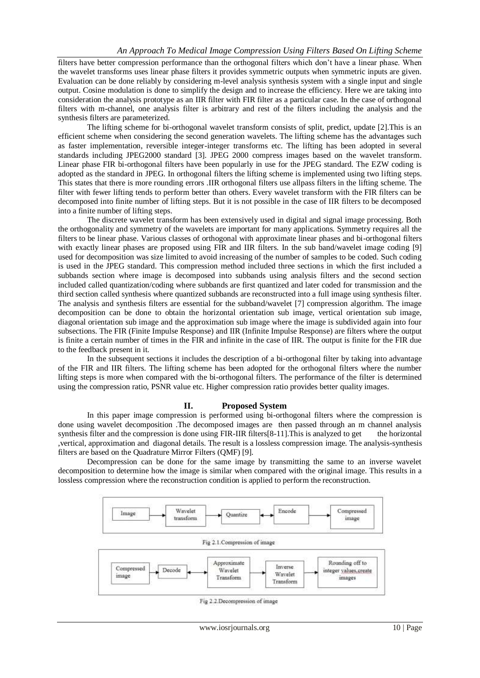filters have better compression performance than the orthogonal filters which don't have a linear phase. When the wavelet transforms uses linear phase filters it provides symmetric outputs when symmetric inputs are given. Evaluation can be done reliably by considering m-level analysis synthesis system with a single input and single output. Cosine modulation is done to simplify the design and to increase the efficiency. Here we are taking into consideration the analysis prototype as an IIR filter with FIR filter as a particular case. In the case of orthogonal filters with m-channel, one analysis filter is arbitrary and rest of the filters including the analysis and the synthesis filters are parameterized.

The lifting scheme for bi-orthogonal wavelet transform consists of split, predict, update [2].This is an efficient scheme when considering the second generation wavelets. The lifting scheme has the advantages such as faster implementation, reversible integer-integer transforms etc. The lifting has been adopted in several standards including JPEG2000 standard [3]. JPEG 2000 compress images based on the wavelet transform. Linear phase FIR bi-orthogonal filters have been popularly in use for the JPEG standard. The EZW coding is adopted as the standard in JPEG. In orthogonal filters the lifting scheme is implemented using two lifting steps. This states that there is more rounding errors .IIR orthogonal filters use allpass filters in the lifting scheme. The filter with fewer lifting tends to perform better than others. Every wavelet transform with the FIR filters can be decomposed into finite number of lifting steps. But it is not possible in the case of IIR filters to be decomposed into a finite number of lifting steps.

The discrete wavelet transform has been extensively used in digital and signal image processing. Both the orthogonality and symmetry of the wavelets are important for many applications. Symmetry requires all the filters to be linear phase. Various classes of orthogonal with approximate linear phases and bi-orthogonal filters with exactly linear phases are proposed using FIR and IIR filters. In the sub band/wavelet image coding [9] used for decomposition was size limited to avoid increasing of the number of samples to be coded. Such coding is used in the JPEG standard. This compression method included three sections in which the first included a subbands section where image is decomposed into subbands using analysis filters and the second section included called quantization/coding where subbands are first quantized and later coded for transmission and the third section called synthesis where quantized subbands are reconstructed into a full image using synthesis filter. The analysis and synthesis filters are essential for the subband/wavelet [7] compression algorithm. The image decomposition can be done to obtain the horizontal orientation sub image, vertical orientation sub image, diagonal orientation sub image and the approximation sub image where the image is subdivided again into four subsections. The FIR (Finite Impulse Response) and IIR (Infinite Impulse Response) are filters where the output is finite a certain number of times in the FIR and infinite in the case of IIR. The output is finite for the FIR due to the feedback present in it.

In the subsequent sections it includes the description of a bi-orthogonal filter by taking into advantage of the FIR and IIR filters. The lifting scheme has been adopted for the orthogonal filters where the number lifting steps is more when compared with the bi-orthogonal filters. The performance of the filter is determined using the compression ratio, PSNR value etc. Higher compression ratio provides better quality images.

## **II. Proposed System**

In this paper image compression is performed using bi-orthogonal filters where the compression is done using wavelet decomposition .The decomposed images are then passed through an m channel analysis synthesis filter and the compression is done using FIR-IIR filters[8-11]. This is analyzed to get the horizontal ,vertical, approximation and diagonal details. The result is a lossless compression image. The analysis-synthesis filters are based on the Quadrature Mirror Filters (QMF) [9].

Decompression can be done for the same image by transmitting the same to an inverse wavelet decomposition to determine how the image is similar when compared with the original image. This results in a lossless compression where the reconstruction condition is applied to perform the reconstruction.



Fig 2.2. Decompression of image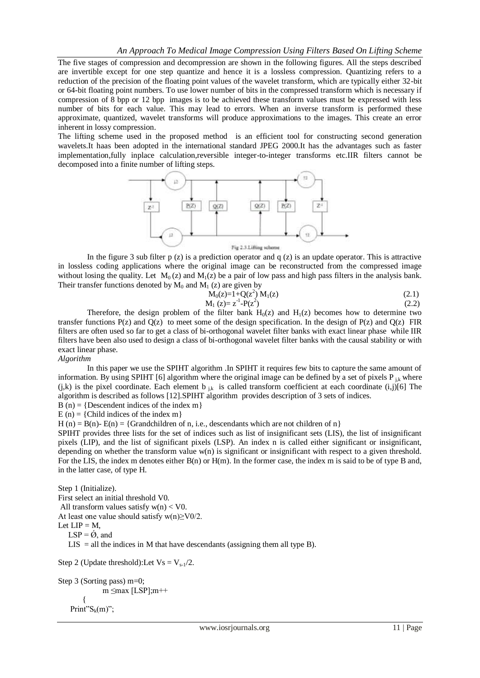The five stages of compression and decompression are shown in the following figures. All the steps described are invertible except for one step quantize and hence it is a lossless compression. Quantizing refers to a reduction of the precision of the floating point values of the wavelet transform, which are typically either 32-bit or 64-bit floating point numbers. To use lower number of bits in the compressed transform which is necessary if compression of 8 bpp or 12 bpp images is to be achieved these transform values must be expressed with less number of bits for each value. This may lead to errors. When an inverse transform is performed these approximate, quantized, wavelet transforms will produce approximations to the images. This create an error inherent in lossy compression.

The lifting scheme used in the proposed method is an efficient tool for constructing second generation wavelets.It haas been adopted in the international standard JPEG 2000.It has the advantages such as faster implementation,fully inplace calculation,reversible integer-to-integer transforms etc.IIR filters cannot be decomposed into a finite number of lifting steps.



In the figure 3 sub filter p  $(z)$  is a prediction operator and q  $(z)$  is an update operator. This is attractive in lossless coding applications where the original image can be reconstructed from the compressed image without losing the quality. Let  $M_0(z)$  and  $M_1(z)$  be a pair of low pass and high pass filters in the analysis bank. Their transfer functions denoted by  $M_0$  and  $M_1$  (z) are given by

$$
M_0(z)=I+Q(z^2) M_1(z)
$$
\n
$$
M_1 (z)=z^{-1}-P(z^2)
$$
\n(2.1)\n(2.2)

Therefore, the design problem of the filter bank  $H_0(z)$  and  $H_1(z)$  becomes how to determine two transfer functions  $P(z)$  and  $Q(z)$  to meet some of the design specification. In the design of  $P(z)$  and  $Q(z)$  FIR filters are often used so far to get a class of bi-orthogonal wavelet filter banks with exact linear phase while IIR filters have been also used to design a class of bi-orthogonal wavelet filter banks with the causal stability or with exact linear phase.

#### *Algorithm*

In this paper we use the SPIHT algorithm .In SPIHT it requires few bits to capture the same amount of information. By using SPIHT [6] algorithm where the original image can be defined by a set of pixels  $P_{ik}$  where  $(j,k)$  is the pixel coordinate. Each element b  $_{jk}$  is called transform coefficient at each coordinate  $(i,j)[6]$  The algorithm is described as follows [12].SPIHT algorithm provides description of 3 sets of indices.

 $B(n) = \{Descendent indices of the index m\}$ 

 $E(n) = {Child indices of the index m}$ 

H (n) = B(n) = {Grandchildren of n, i.e., descendants which are not children of n}

SPIHT provides three lists for the set of indices such as list of insignificant sets (LIS), the list of insignificant pixels (LIP), and the list of significant pixels (LSP). An index n is called either significant or insignificant, depending on whether the transform value w(n) is significant or insignificant with respect to a given threshold. For the LIS, the index m denotes either B(n) or H(m). In the former case, the index m is said to be of type B and, in the latter case, of type H.

```
Step 1 (Initialize). 
First select an initial threshold V0.
All transform values satisfy w(n) < V0.
At least one value should satisfy w(n) \geq \frac{V0}{2}.
Let LIP = M,
   LSP = \varnothing, and
   LIS = all the indices in M that have descendants (assigning them all type B).
Step 2 (Update threshold):Let Vs = V_{s-1}/2.
```

```
Step 3 (Sorting pass) m=0; 
             m ≤max [LSP];m++
 { 
   Print"S_k(m)";
```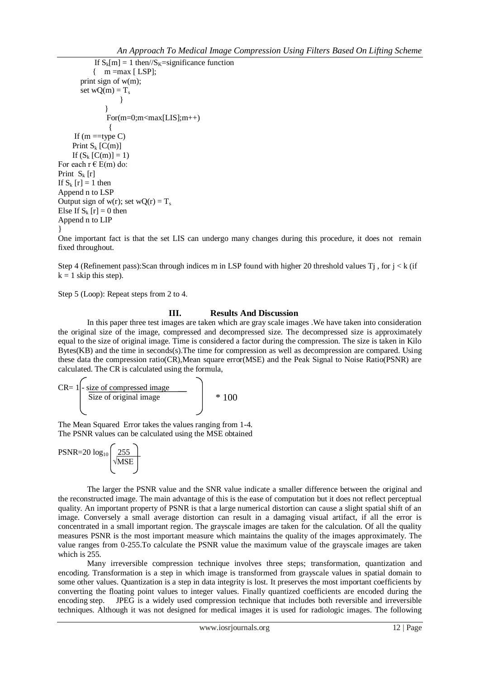```
If S_k[m] = 1 then//S_k=significance function
         \{ m =max [ LSP];
       print sign of w(m); 
      set wQ(m) = T_s }
 }
             For(m=0; m<max[LIS]; m++)\{If (m = type C)Print S_k [C(m)]
    If (S_k [C(m)] = 1)For each r \in E(m) do:
Print S_k [r]
If S_k [r] = 1 then
Append n to LSP
Output sign of w(r); set wQ(r) = T_sElse If S_k [r] = 0 then
Append n to LIP
}
```
One important fact is that the set LIS can undergo many changes during this procedure, it does not remain fixed throughout.

Step 4 (Refinement pass): Scan through indices m in LSP found with higher 20 threshold values T<sub>j</sub>, for  $j < k$  (if  $k = 1$  skip this step).

Step 5 (Loop): Repeat steps from 2 to 4.

## **III. Results And Discussion**

In this paper three test images are taken which are gray scale images .We have taken into consideration the original size of the image, compressed and decompressed size. The decompressed size is approximately equal to the size of original image. Time is considered a factor during the compression. The size is taken in Kilo Bytes(KB) and the time in seconds(s).The time for compression as well as decompression are compared. Using these data the compression ratio(CR),Mean square error(MSE) and the Peak Signal to Noise Ratio(PSNR) are calculated. The CR is calculated using the formula,

$$
CR = 1 \begin{bmatrix} \text{size of compressed image} \\ \text{Size of original image} \end{bmatrix} * 100
$$

The Mean Squared Error takes the values ranging from 1-4. The PSNR values can be calculated using the MSE obtained

$$
PSNR = 20 \log_{10} \left( \frac{255}{\sqrt{\text{MSE}}} \right)
$$

The larger the PSNR value and the SNR value indicate a smaller difference between the original and the reconstructed image. The main advantage of this is the ease of computation but it does not reflect perceptual quality. An important property of PSNR is that a large numerical distortion can cause a slight spatial shift of an image. Conversely a small average distortion can result in a damaging visual artifact, if all the error is concentrated in a small important region. The grayscale images are taken for the calculation. Of all the quality measures PSNR is the most important measure which maintains the quality of the images approximately. The value ranges from 0-255.To calculate the PSNR value the maximum value of the grayscale images are taken which is 255.

Many irreversible compression technique involves three steps; transformation, quantization and encoding. Transformation is a step in which image is transformed from grayscale values in spatial domain to some other values. Quantization is a step in data integrity is lost. It preserves the most important coefficients by converting the floating point values to integer values. Finally quantized coefficients are encoded during the encoding step. JPEG is a widely used compression technique that includes both reversible and irreversible techniques. Although it was not designed for medical images it is used for radiologic images. The following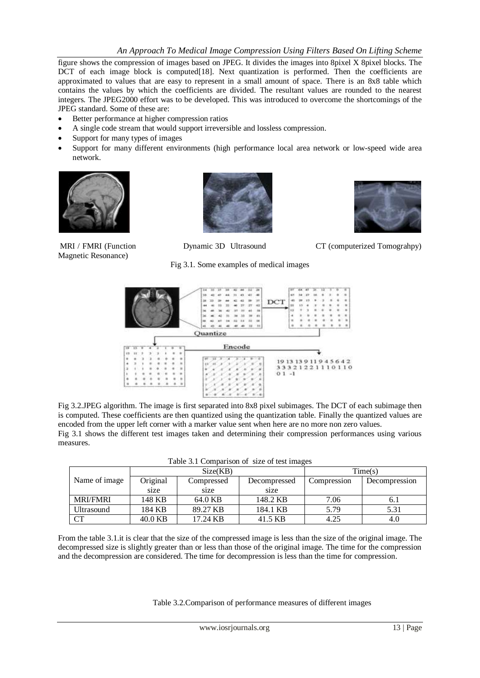figure shows the compression of images based on JPEG. It divides the images into 8pixel X 8pixel blocks. The DCT of each image block is computed [18]. Next quantization is performed. Then the coefficients are approximated to values that are easy to represent in a small amount of space. There is an 8x8 table which contains the values by which the coefficients are divided. The resultant values are rounded to the nearest integers. The JPEG2000 effort was to be developed. This was introduced to overcome the shortcomings of the JPEG standard. Some of these are:

- Better performance at higher compression ratios
- A single code stream that would support irreversible and lossless compression.
- Support for many types of images
- Support for many different environments (high performance local area network or low-speed wide area network.



Magnetic Resonance)





MRI / FMRI (Function Dynamic 3D Ultrasound CT (computerized Tomograhpy)

Fig 3.1. Some examples of medical images



Fig 3.2.JPEG algorithm. The image is first separated into 8x8 pixel subimages. The DCT of each subimage then is computed. These coefficients are then quantized using the quantization table. Finally the quantized values are encoded from the upper left corner with a marker value sent when here are no more non zero values. Fig 3.1 shows the different test images taken and determining their compression performances using various measures.

|                 |          | Size(KB)   | Time(s)      |             |               |
|-----------------|----------|------------|--------------|-------------|---------------|
| Name of image   | Original | Compressed | Decompressed | Compression | Decompression |
|                 | size     | size       | size         |             |               |
| <b>MRI/FMRI</b> | 148 KB   | 64.0 KB    | 148.2 KB     | 7.06        | 6.1           |
| Ultrasound      | 184 KB   | 89.27 KB   | 184.1 KB     | 5.79        | 5.31          |
| CT              | 40.0 KB  | 17.24 KB   | 41.5 KB      | 4.25        | 4.0           |

From the table 3.1.it is clear that the size of the compressed image is less than the size of the original image. The decompressed size is slightly greater than or less than those of the original image. The time for the compression and the decompression are considered. The time for decompression is less than the time for compression.

Table 3.2.Comparison of performance measures of different images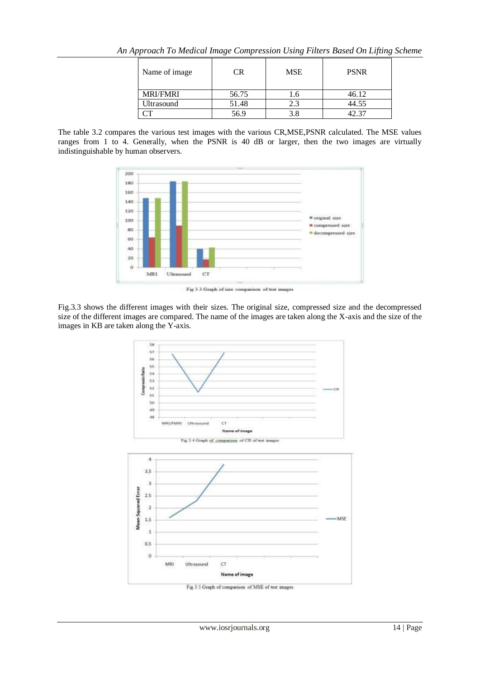|  |  | An Approach To Medical Image Compression Using Filters Based On Lifting Scheme |  |
|--|--|--------------------------------------------------------------------------------|--|
|  |  |                                                                                |  |

| Name of image   | ΞR    | <b>MSE</b> | <b>PSNR</b> |
|-----------------|-------|------------|-------------|
| <b>MRI/FMRI</b> | 56.75 | 1.6        | 46.12       |
| Ultrasound      | 51.48 | 2.3        | 44.55       |
|                 | 56.9  | 3.8        |             |

The table 3.2 compares the various test images with the various CR,MSE,PSNR calculated. The MSE values ranges from 1 to 4. Generally, when the PSNR is 40 dB or larger, then the two images are virtually indistinguishable by human observers.



Fig 3.3 Graph of size comparison of test images

Fig.3.3 shows the different images with their sizes. The original size, compressed size and the decompressed size of the different images are compared. The name of the images are taken along the X-axis and the size of the images in KB are taken along the Y-axis.

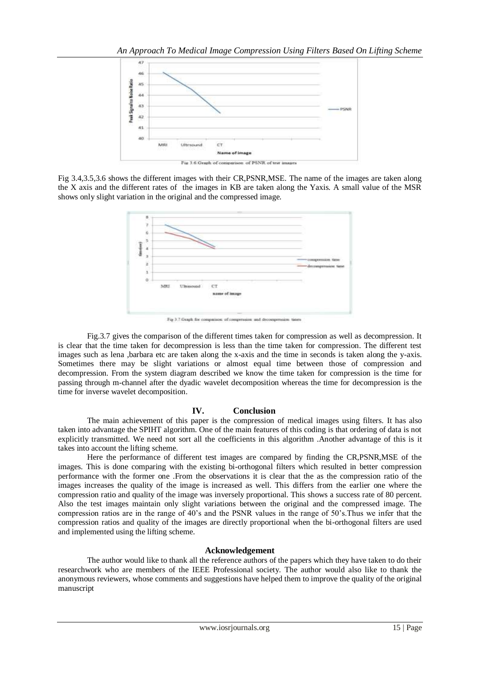

Fig 3.4,3.5,3.6 shows the different images with their CR,PSNR,MSE. The name of the images are taken along the X axis and the different rates of the images in KB are taken along the Yaxis. A small value of the MSR shows only slight variation in the original and the compressed image.



Fig 3.7 Graph for comparison of compension and deco-

Fig.3.7 gives the comparison of the different times taken for compression as well as decompression. It is clear that the time taken for decompression is less than the time taken for compression. The different test images such as lena ,barbara etc are taken along the x-axis and the time in seconds is taken along the y-axis. Sometimes there may be slight variations or almost equal time between those of compression and decompression. From the system diagram described we know the time taken for compression is the time for passing through m-channel after the dyadic wavelet decomposition whereas the time for decompression is the time for inverse wavelet decomposition.

## **IV. Conclusion**

The main achievement of this paper is the compression of medical images using filters. It has also taken into advantage the SPIHT algorithm. One of the main features of this coding is that ordering of data is not explicitly transmitted. We need not sort all the coefficients in this algorithm .Another advantage of this is it takes into account the lifting scheme.

Here the performance of different test images are compared by finding the CR,PSNR,MSE of the images. This is done comparing with the existing bi-orthogonal filters which resulted in better compression performance with the former one .From the observations it is clear that the as the compression ratio of the images increases the quality of the image is increased as well. This differs from the earlier one where the compression ratio and quality of the image was inversely proportional. This shows a success rate of 80 percent. Also the test images maintain only slight variations between the original and the compressed image. The compression ratios are in the range of 40's and the PSNR values in the range of 50's.Thus we infer that the compression ratios and quality of the images are directly proportional when the bi-orthogonal filters are used and implemented using the lifting scheme.

## **Acknowledgement**

The author would like to thank all the reference authors of the papers which they have taken to do their researchwork who are members of the IEEE Professional society. The author would also like to thank the anonymous reviewers, whose comments and suggestions have helped them to improve the quality of the original manuscript